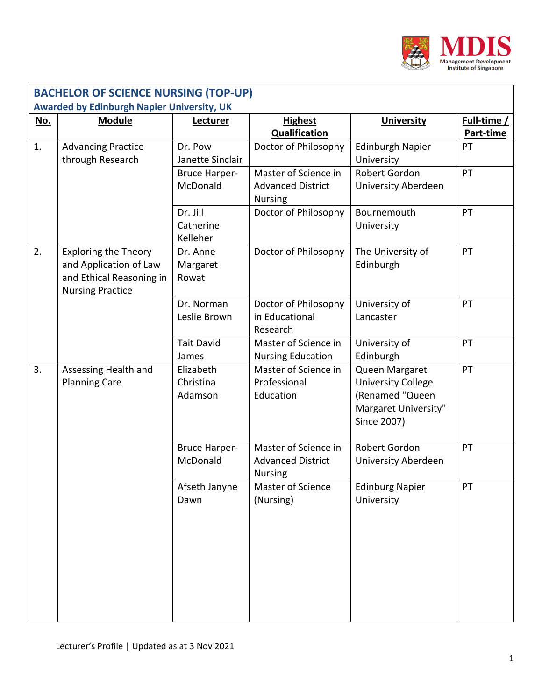

|                                                   | <b>BACHELOR OF SCIENCE NURSING (TOP-UP)</b>                                                                  |                                   |                                                                    |                                                                                                       |                          |  |  |  |
|---------------------------------------------------|--------------------------------------------------------------------------------------------------------------|-----------------------------------|--------------------------------------------------------------------|-------------------------------------------------------------------------------------------------------|--------------------------|--|--|--|
| <b>Awarded by Edinburgh Napier University, UK</b> |                                                                                                              |                                   |                                                                    |                                                                                                       |                          |  |  |  |
| <u>No.</u>                                        | <b>Module</b>                                                                                                | Lecturer                          | <b>Highest</b><br><b>Qualification</b>                             | <b>University</b>                                                                                     | Full-time /<br>Part-time |  |  |  |
| 1.                                                | <b>Advancing Practice</b><br>through Research                                                                | Dr. Pow<br>Janette Sinclair       | Doctor of Philosophy                                               | <b>Edinburgh Napier</b><br>University                                                                 | PT                       |  |  |  |
|                                                   |                                                                                                              | <b>Bruce Harper-</b><br>McDonald  | Master of Science in<br><b>Advanced District</b><br><b>Nursing</b> | Robert Gordon<br>University Aberdeen                                                                  | PT                       |  |  |  |
|                                                   |                                                                                                              | Dr. Jill<br>Catherine<br>Kelleher | Doctor of Philosophy                                               | Bournemouth<br>University                                                                             | PT                       |  |  |  |
| 2.                                                | <b>Exploring the Theory</b><br>and Application of Law<br>and Ethical Reasoning in<br><b>Nursing Practice</b> | Dr. Anne<br>Margaret<br>Rowat     | Doctor of Philosophy                                               | The University of<br>Edinburgh                                                                        | PT                       |  |  |  |
|                                                   |                                                                                                              | Dr. Norman<br>Leslie Brown        | Doctor of Philosophy<br>in Educational<br>Research                 | University of<br>Lancaster                                                                            | PT                       |  |  |  |
|                                                   |                                                                                                              | <b>Tait David</b><br>James        | Master of Science in<br><b>Nursing Education</b>                   | University of<br>Edinburgh                                                                            | PT                       |  |  |  |
| 3.                                                | Assessing Health and<br><b>Planning Care</b>                                                                 | Elizabeth<br>Christina<br>Adamson | Master of Science in<br>Professional<br>Education                  | Queen Margaret<br><b>University College</b><br>(Renamed "Queen<br>Margaret University"<br>Since 2007) | PT                       |  |  |  |
|                                                   |                                                                                                              | <b>Bruce Harper-</b><br>McDonald  | Master of Science in<br><b>Advanced District</b><br><b>Nursing</b> | Robert Gordon<br>University Aberdeen                                                                  | PT                       |  |  |  |
|                                                   |                                                                                                              | Afseth Janyne<br>Dawn             | <b>Master of Science</b><br>(Nursing)                              | <b>Edinburg Napier</b><br>University                                                                  | PT                       |  |  |  |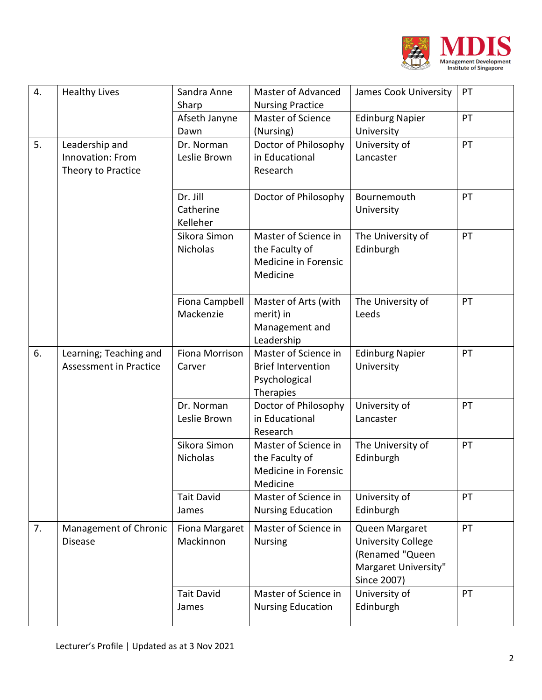

| 4. | <b>Healthy Lives</b>                                     | Sandra Anne<br>Sharp              | <b>Master of Advanced</b><br><b>Nursing Practice</b>                            | James Cook University                                                                                 | PT |
|----|----------------------------------------------------------|-----------------------------------|---------------------------------------------------------------------------------|-------------------------------------------------------------------------------------------------------|----|
|    |                                                          | Afseth Janyne<br>Dawn             | <b>Master of Science</b><br>(Nursing)                                           | <b>Edinburg Napier</b><br>University                                                                  | PT |
| 5. | Leadership and<br>Innovation: From<br>Theory to Practice | Dr. Norman<br>Leslie Brown        | Doctor of Philosophy<br>in Educational<br>Research                              | University of<br>Lancaster                                                                            | PT |
|    |                                                          | Dr. Jill<br>Catherine<br>Kelleher | Doctor of Philosophy                                                            | Bournemouth<br>University                                                                             | PT |
|    |                                                          | Sikora Simon<br>Nicholas          | Master of Science in<br>the Faculty of<br>Medicine in Forensic<br>Medicine      | The University of<br>Edinburgh                                                                        | PT |
|    |                                                          | Fiona Campbell<br>Mackenzie       | Master of Arts (with<br>merit) in<br>Management and<br>Leadership               | The University of<br>Leeds                                                                            | PT |
| 6. | Learning; Teaching and<br><b>Assessment in Practice</b>  | Fiona Morrison<br>Carver          | Master of Science in<br><b>Brief Intervention</b><br>Psychological<br>Therapies | <b>Edinburg Napier</b><br>University                                                                  | PT |
|    |                                                          | Dr. Norman<br>Leslie Brown        | Doctor of Philosophy<br>in Educational<br>Research                              | University of<br>Lancaster                                                                            | PT |
|    |                                                          | Sikora Simon<br><b>Nicholas</b>   | Master of Science in<br>the Faculty of<br>Medicine in Forensic<br>Medicine      | The University of<br>Edinburgh                                                                        | PT |
|    |                                                          | <b>Tait David</b><br>James        | Master of Science in<br><b>Nursing Education</b>                                | University of<br>Edinburgh                                                                            | PT |
| 7. | Management of Chronic<br><b>Disease</b>                  | Fiona Margaret<br>Mackinnon       | Master of Science in<br><b>Nursing</b>                                          | Queen Margaret<br><b>University College</b><br>(Renamed "Queen<br>Margaret University"<br>Since 2007) | PT |
|    |                                                          | <b>Tait David</b><br>James        | Master of Science in<br><b>Nursing Education</b>                                | University of<br>Edinburgh                                                                            | PT |